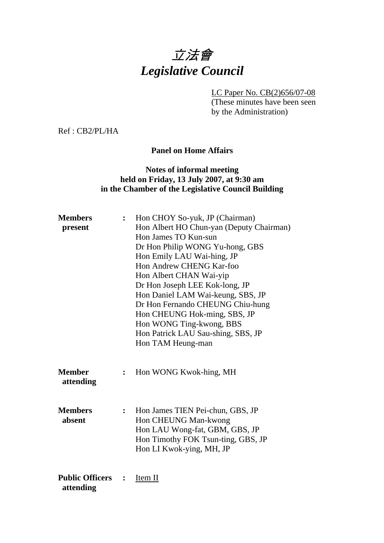# 立法會 *Legislative Council*

LC Paper No. CB(2)656/07-08

(These minutes have been seen by the Administration)

Ref : CB2/PL/HA

#### **Panel on Home Affairs**

#### **Notes of informal meeting held on Friday, 13 July 2007, at 9:30 am in the Chamber of the Legislative Council Building**

| <b>Members</b><br>present           | $\ddot{\cdot}$ | Hon CHOY So-yuk, JP (Chairman)<br>Hon Albert HO Chun-yan (Deputy Chairman)<br>Hon James TO Kun-sun<br>Dr Hon Philip WONG Yu-hong, GBS<br>Hon Emily LAU Wai-hing, JP<br>Hon Andrew CHENG Kar-foo<br>Hon Albert CHAN Wai-yip<br>Dr Hon Joseph LEE Kok-long, JP<br>Hon Daniel LAM Wai-keung, SBS, JP<br>Dr Hon Fernando CHEUNG Chiu-hung<br>Hon CHEUNG Hok-ming, SBS, JP<br>Hon WONG Ting-kwong, BBS<br>Hon Patrick LAU Sau-shing, SBS, JP<br>Hon TAM Heung-man |
|-------------------------------------|----------------|--------------------------------------------------------------------------------------------------------------------------------------------------------------------------------------------------------------------------------------------------------------------------------------------------------------------------------------------------------------------------------------------------------------------------------------------------------------|
| <b>Member</b><br>attending          | $\ddot{\cdot}$ | Hon WONG Kwok-hing, MH                                                                                                                                                                                                                                                                                                                                                                                                                                       |
| <b>Members</b><br>absent            | $\ddot{\cdot}$ | Hon James TIEN Pei-chun, GBS, JP<br>Hon CHEUNG Man-kwong<br>Hon LAU Wong-fat, GBM, GBS, JP<br>Hon Timothy FOK Tsun-ting, GBS, JP<br>Hon LI Kwok-ying, MH, JP                                                                                                                                                                                                                                                                                                 |
| <b>Public Officers</b><br>attending | $\ddot{\cdot}$ | Item II                                                                                                                                                                                                                                                                                                                                                                                                                                                      |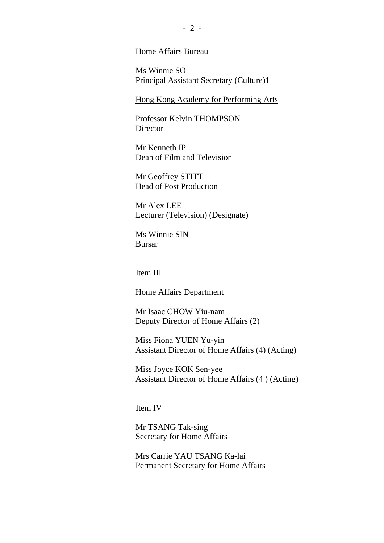#### Home Affairs Bureau

Ms Winnie SO Principal Assistant Secretary (Culture)1

Hong Kong Academy for Performing Arts

Professor Kelvin THOMPSON **Director** 

Mr Kenneth IP Dean of Film and Television

Mr Geoffrey STITT Head of Post Production

Mr Alex LEE Lecturer (Television) (Designate)

Ms Winnie SIN Bursar

#### Item III

Home Affairs Department

Mr Isaac CHOW Yiu-nam Deputy Director of Home Affairs (2)

Miss Fiona YUEN Yu-yin Assistant Director of Home Affairs (4) (Acting)

Miss Joyce KOK Sen-yee Assistant Director of Home Affairs (4 ) (Acting)

#### Item IV

Mr TSANG Tak-sing Secretary for Home Affairs

Mrs Carrie YAU TSANG Ka-lai Permanent Secretary for Home Affairs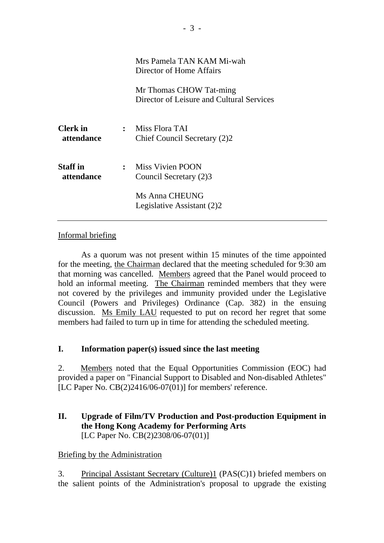|                               | Mrs Pamela TAN KAM Mi-wah<br>Director of Home Affairs                |
|-------------------------------|----------------------------------------------------------------------|
|                               | Mr Thomas CHOW Tat-ming<br>Director of Leisure and Cultural Services |
| <b>Clerk</b> in<br>attendance | $:$ Miss Flora TAI<br>Chief Council Secretary (2)2                   |
| <b>Staff</b> in<br>attendance | : Miss Vivien POON<br>Council Secretary (2)3                         |
|                               | Ms Anna CHEUNG<br>Legislative Assistant (2)2                         |

#### Informal briefing

1. As a quorum was not present within 15 minutes of the time appointed for the meeting, the Chairman declared that the meeting scheduled for 9:30 am that morning was cancelled. Members agreed that the Panel would proceed to hold an informal meeting. The Chairman reminded members that they were not covered by the privileges and immunity provided under the Legislative Council (Powers and Privileges) Ordinance (Cap. 382) in the ensuing discussion. Ms Emily LAU requested to put on record her regret that some members had failed to turn up in time for attending the scheduled meeting.

#### **I. Information paper(s) issued since the last meeting**

2. Members noted that the Equal Opportunities Commission (EOC) had provided a paper on "Financial Support to Disabled and Non-disabled Athletes" [LC Paper No. CB(2)2416/06-07(01)] for members' reference.

## **II. Upgrade of Film/TV Production and Post-production Equipment in the Hong Kong Academy for Performing Arts**  [LC Paper No. CB(2)2308/06-07(01)]

#### Briefing by the Administration

3. Principal Assistant Secretary (Culture)1 (PAS(C)1) briefed members on the salient points of the Administration's proposal to upgrade the existing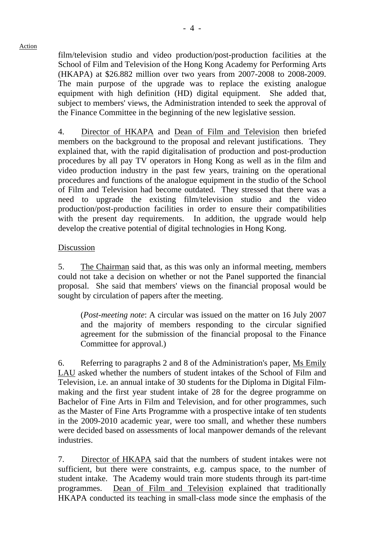film/television studio and video production/post-production facilities at the School of Film and Television of the Hong Kong Academy for Performing Arts (HKAPA) at \$26.882 million over two years from 2007-2008 to 2008-2009. The main purpose of the upgrade was to replace the existing analogue equipment with high definition (HD) digital equipment. She added that, subject to members' views, the Administration intended to seek the approval of the Finance Committee in the beginning of the new legislative session.

4. Director of HKAPA and Dean of Film and Television then briefed members on the background to the proposal and relevant justifications. They explained that, with the rapid digitalisation of production and post-production procedures by all pay TV operators in Hong Kong as well as in the film and video production industry in the past few years, training on the operational procedures and functions of the analogue equipment in the studio of the School of Film and Television had become outdated. They stressed that there was a need to upgrade the existing film/television studio and the video production/post-production facilities in order to ensure their compatibilities with the present day requirements. In addition, the upgrade would help develop the creative potential of digital technologies in Hong Kong.

#### Discussion

5. The Chairman said that, as this was only an informal meeting, members could not take a decision on whether or not the Panel supported the financial proposal. She said that members' views on the financial proposal would be sought by circulation of papers after the meeting.

(*Post-meeting note*: A circular was issued on the matter on 16 July 2007 and the majority of members responding to the circular signified agreement for the submission of the financial proposal to the Finance Committee for approval.)

6. Referring to paragraphs 2 and 8 of the Administration's paper, Ms Emily LAU asked whether the numbers of student intakes of the School of Film and Television, i.e. an annual intake of 30 students for the Diploma in Digital Filmmaking and the first year student intake of 28 for the degree programme on Bachelor of Fine Arts in Film and Television, and for other programmes, such as the Master of Fine Arts Programme with a prospective intake of ten students in the 2009-2010 academic year, were too small, and whether these numbers were decided based on assessments of local manpower demands of the relevant industries.

7. Director of HKAPA said that the numbers of student intakes were not sufficient, but there were constraints, e.g. campus space, to the number of student intake. The Academy would train more students through its part-time programmes. Dean of Film and Television explained that traditionally HKAPA conducted its teaching in small-class mode since the emphasis of the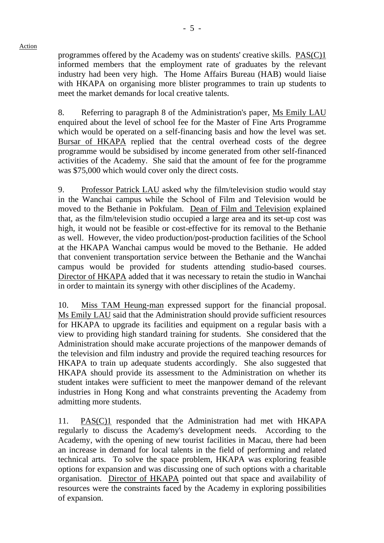programmes offered by the Academy was on students' creative skills. PAS(C)1 informed members that the employment rate of graduates by the relevant industry had been very high. The Home Affairs Bureau (HAB) would liaise with HKAPA on organising more blister programmes to train up students to meet the market demands for local creative talents.

8. Referring to paragraph 8 of the Administration's paper, Ms Emily LAU enquired about the level of school fee for the Master of Fine Arts Programme which would be operated on a self-financing basis and how the level was set. Bursar of HKAPA replied that the central overhead costs of the degree programme would be subsidised by income generated from other self-financed activities of the Academy. She said that the amount of fee for the programme was \$75,000 which would cover only the direct costs.

9. Professor Patrick LAU asked why the film/television studio would stay in the Wanchai campus while the School of Film and Television would be moved to the Bethanie in Pokfulam. Dean of Film and Television explained that, as the film/television studio occupied a large area and its set-up cost was high, it would not be feasible or cost-effective for its removal to the Bethanie as well. However, the video production/post-production facilities of the School at the HKAPA Wanchai campus would be moved to the Bethanie. He added that convenient transportation service between the Bethanie and the Wanchai campus would be provided for students attending studio-based courses. Director of HKAPA added that it was necessary to retain the studio in Wanchai in order to maintain its synergy with other disciplines of the Academy.

10. Miss TAM Heung-man expressed support for the financial proposal. Ms Emily LAU said that the Administration should provide sufficient resources for HKAPA to upgrade its facilities and equipment on a regular basis with a view to providing high standard training for students. She considered that the Administration should make accurate projections of the manpower demands of the television and film industry and provide the required teaching resources for HKAPA to train up adequate students accordingly. She also suggested that HKAPA should provide its assessment to the Administration on whether its student intakes were sufficient to meet the manpower demand of the relevant industries in Hong Kong and what constraints preventing the Academy from admitting more students.

11. PAS(C)1 responded that the Administration had met with HKAPA regularly to discuss the Academy's development needs. According to the Academy, with the opening of new tourist facilities in Macau, there had been an increase in demand for local talents in the field of performing and related technical arts. To solve the space problem, HKAPA was exploring feasible options for expansion and was discussing one of such options with a charitable organisation. Director of HKAPA pointed out that space and availability of resources were the constraints faced by the Academy in exploring possibilities of expansion.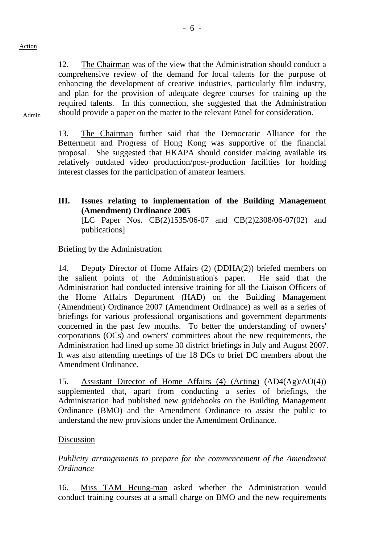12. The Chairman was of the view that the Administration should conduct a comprehensive review of the demand for local talents for the purpose of enhancing the development of creative industries, particularly film industry, and plan for the provision of adequate degree courses for training up the required talents. In this connection, she suggested that the Administration should provide a paper on the matter to the relevant Panel for consideration.

Admin

13. The Chairman further said that the Democratic Alliance for the Betterment and Progress of Hong Kong was supportive of the financial proposal. She suggested that HKAPA should consider making available its relatively outdated video production/post-production facilities for holding interest classes for the participation of amateur learners.

**III. Issues relating to implementation of the Building Management (Amendment) Ordinance 2005**  [LC Paper Nos. CB(2)1535/06-07 and CB(2)2308/06-07(02) and publications]

#### Briefing by the Administration

14. Deputy Director of Home Affairs (2) (DDHA(2)) briefed members on the salient points of the Administration's paper. He said that the Administration had conducted intensive training for all the Liaison Officers of the Home Affairs Department (HAD) on the Building Management (Amendment) Ordinance 2007 (Amendment Ordinance) as well as a series of briefings for various professional organisations and government departments concerned in the past few months. To better the understanding of owners' corporations (OCs) and owners' committees about the new requirements, the Administration had lined up some 30 district briefings in July and August 2007. It was also attending meetings of the 18 DCs to brief DC members about the Amendment Ordinance.

15. Assistant Director of Home Affairs (4) (Acting) (AD4(Ag)/AO(4)) supplemented that, apart from conducting a series of briefings, the Administration had published new guidebooks on the Building Management Ordinance (BMO) and the Amendment Ordinance to assist the public to understand the new provisions under the Amendment Ordinance.

#### Discussion

*Publicity arrangements to prepare for the commencement of the Amendment Ordinance* 

16. Miss TAM Heung-man asked whether the Administration would conduct training courses at a small charge on BMO and the new requirements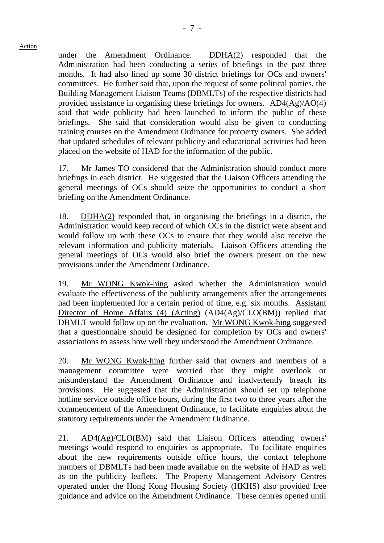under the Amendment Ordinance. DDHA(2) responded that the Administration had been conducting a series of briefings in the past three months. It had also lined up some 30 district briefings for OCs and owners' committees. He further said that, upon the request of some political parties, the Building Management Liaison Teams (DBMLTs) of the respective districts had provided assistance in organising these briefings for owners. AD4(Ag)/AO(4) said that wide publicity had been launched to inform the public of these briefings. She said that consideration would also be given to conducting training courses on the Amendment Ordinance for property owners. She added that updated schedules of relevant publicity and educational activities had been placed on the website of HAD for the information of the public.

17. Mr James TO considered that the Administration should conduct more briefings in each district. He suggested that the Liaison Officers attending the general meetings of OCs should seize the opportunities to conduct a short briefing on the Amendment Ordinance.

18. DDHA(2) responded that, in organising the briefings in a district, the Administration would keep record of which OCs in the district were absent and would follow up with these OCs to ensure that they would also receive the relevant information and publicity materials. Liaison Officers attending the general meetings of OCs would also brief the owners present on the new provisions under the Amendment Ordinance.

19. Mr WONG Kwok-hing asked whether the Administration would evaluate the effectiveness of the publicity arrangements after the arrangements had been implemented for a certain period of time, e.g. six months. Assistant Director of Home Affairs (4) (Acting) (AD4(Ag)/CLO(BM)) replied that DBMLT would follow up on the evaluation. Mr WONG Kwok-hing suggested that a questionnaire should be designed for completion by OCs and owners' associations to assess how well they understood the Amendment Ordinance.

20. Mr WONG Kwok-hing further said that owners and members of a management committee were worried that they might overlook or misunderstand the Amendment Ordinance and inadvertently breach its provisions. He suggested that the Administration should set up telephone hotline service outside office hours, during the first two to three years after the commencement of the Amendment Ordinance, to facilitate enquiries about the statutory requirements under the Amendment Ordinance.

21. AD4(Ag)/CLO(BM) said that Liaison Officers attending owners' meetings would respond to enquiries as appropriate. To facilitate enquiries about the new requirements outside office hours, the contact telephone numbers of DBMLTs had been made available on the website of HAD as well as on the publicity leaflets. The Property Management Advisory Centres operated under the Hong Kong Housing Society (HKHS) also provided free guidance and advice on the Amendment Ordinance. These centres opened until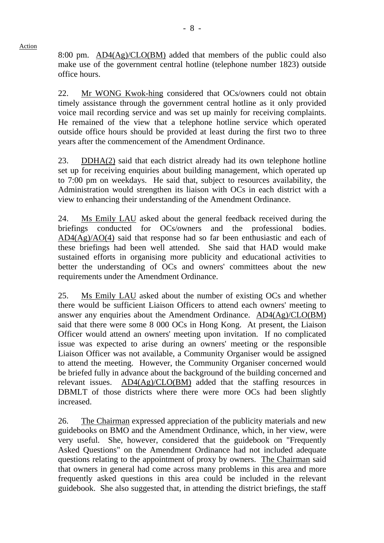8:00 pm. AD4(Ag)/CLO(BM) added that members of the public could also make use of the government central hotline (telephone number 1823) outside office hours.

22. Mr WONG Kwok-hing considered that OCs/owners could not obtain timely assistance through the government central hotline as it only provided voice mail recording service and was set up mainly for receiving complaints. He remained of the view that a telephone hotline service which operated outside office hours should be provided at least during the first two to three years after the commencement of the Amendment Ordinance.

23. DDHA(2) said that each district already had its own telephone hotline set up for receiving enquiries about building management, which operated up to 7:00 pm on weekdays. He said that, subject to resources availability, the Administration would strengthen its liaison with OCs in each district with a view to enhancing their understanding of the Amendment Ordinance.

24. Ms Emily LAU asked about the general feedback received during the briefings conducted for OCs/owners and the professional bodies. AD4(Ag)/AO(4) said that response had so far been enthusiastic and each of these briefings had been well attended. She said that HAD would make sustained efforts in organising more publicity and educational activities to better the understanding of OCs and owners' committees about the new requirements under the Amendment Ordinance.

25. Ms Emily LAU asked about the number of existing OCs and whether there would be sufficient Liaison Officers to attend each owners' meeting to answer any enquiries about the Amendment Ordinance. AD4(Ag)/CLO(BM) said that there were some 8 000 OCs in Hong Kong. At present, the Liaison Officer would attend an owners' meeting upon invitation. If no complicated issue was expected to arise during an owners' meeting or the responsible Liaison Officer was not available, a Community Organiser would be assigned to attend the meeting. However, the Community Organiser concerned would be briefed fully in advance about the background of the building concerned and relevant issues. AD4(Ag)/CLO(BM) added that the staffing resources in DBMLT of those districts where there were more OCs had been slightly increased.

26. The Chairman expressed appreciation of the publicity materials and new guidebooks on BMO and the Amendment Ordinance, which, in her view, were very useful. She, however, considered that the guidebook on "Frequently Asked Questions" on the Amendment Ordinance had not included adequate questions relating to the appointment of proxy by owners. The Chairman said that owners in general had come across many problems in this area and more frequently asked questions in this area could be included in the relevant guidebook. She also suggested that, in attending the district briefings, the staff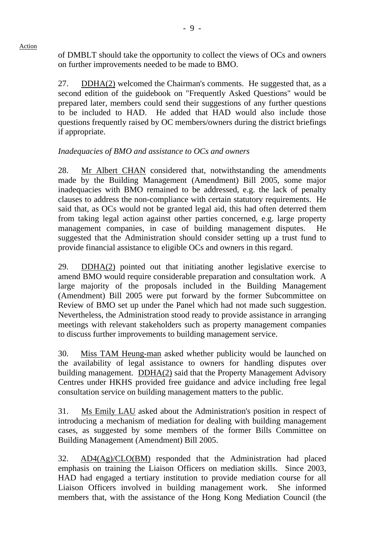of DMBLT should take the opportunity to collect the views of OCs and owners on further improvements needed to be made to BMO.

27. DDHA(2) welcomed the Chairman's comments. He suggested that, as a second edition of the guidebook on "Frequently Asked Questions" would be prepared later, members could send their suggestions of any further questions to be included to HAD. He added that HAD would also include those questions frequently raised by OC members/owners during the district briefings if appropriate.

## *Inadequacies of BMO and assistance to OCs and owners*

28. Mr Albert CHAN considered that, notwithstanding the amendments made by the Building Management (Amendment) Bill 2005, some major inadequacies with BMO remained to be addressed, e.g. the lack of penalty clauses to address the non-compliance with certain statutory requirements. He said that, as OCs would not be granted legal aid, this had often deterred them from taking legal action against other parties concerned, e.g. large property management companies, in case of building management disputes. He suggested that the Administration should consider setting up a trust fund to provide financial assistance to eligible OCs and owners in this regard.

29. DDHA(2) pointed out that initiating another legislative exercise to amend BMO would require considerable preparation and consultation work. A large majority of the proposals included in the Building Management (Amendment) Bill 2005 were put forward by the former Subcommittee on Review of BMO set up under the Panel which had not made such suggestion. Nevertheless, the Administration stood ready to provide assistance in arranging meetings with relevant stakeholders such as property management companies to discuss further improvements to building management service.

30. Miss TAM Heung-man asked whether publicity would be launched on the availability of legal assistance to owners for handling disputes over building management. DDHA(2) said that the Property Management Advisory Centres under HKHS provided free guidance and advice including free legal consultation service on building management matters to the public.

31. Ms Emily LAU asked about the Administration's position in respect of introducing a mechanism of mediation for dealing with building management cases, as suggested by some members of the former Bills Committee on Building Management (Amendment) Bill 2005.

32. AD4(Ag)/CLO(BM) responded that the Administration had placed emphasis on training the Liaison Officers on mediation skills. Since 2003, HAD had engaged a tertiary institution to provide mediation course for all Liaison Officers involved in building management work. She informed members that, with the assistance of the Hong Kong Mediation Council (the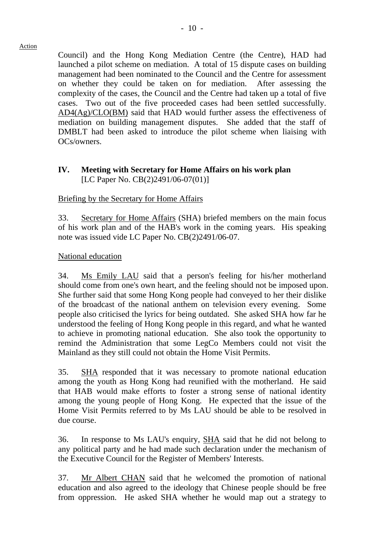Council) and the Hong Kong Mediation Centre (the Centre), HAD had launched a pilot scheme on mediation. A total of 15 dispute cases on building management had been nominated to the Council and the Centre for assessment on whether they could be taken on for mediation. After assessing the complexity of the cases, the Council and the Centre had taken up a total of five cases. Two out of the five proceeded cases had been settled successfully. AD4(Ag)/CLO(BM) said that HAD would further assess the effectiveness of mediation on building management disputes. She added that the staff of DMBLT had been asked to introduce the pilot scheme when liaising with OCs/owners.

## **IV. Meeting with Secretary for Home Affairs on his work plan**  [LC Paper No. CB(2)2491/06-07(01)]

## Briefing by the Secretary for Home Affairs

33. Secretary for Home Affairs (SHA) briefed members on the main focus of his work plan and of the HAB's work in the coming years. His speaking note was issued vide LC Paper No. CB(2)2491/06-07.

#### National education

34. Ms Emily LAU said that a person's feeling for his/her motherland should come from one's own heart, and the feeling should not be imposed upon. She further said that some Hong Kong people had conveyed to her their dislike of the broadcast of the national anthem on television every evening. Some people also criticised the lyrics for being outdated. She asked SHA how far he understood the feeling of Hong Kong people in this regard, and what he wanted to achieve in promoting national education. She also took the opportunity to remind the Administration that some LegCo Members could not visit the Mainland as they still could not obtain the Home Visit Permits.

35. SHA responded that it was necessary to promote national education among the youth as Hong Kong had reunified with the motherland. He said that HAB would make efforts to foster a strong sense of national identity among the young people of Hong Kong. He expected that the issue of the Home Visit Permits referred to by Ms LAU should be able to be resolved in due course.

36. In response to Ms LAU's enquiry, SHA said that he did not belong to any political party and he had made such declaration under the mechanism of the Executive Council for the Register of Members' Interests.

37. Mr Albert CHAN said that he welcomed the promotion of national education and also agreed to the ideology that Chinese people should be free from oppression. He asked SHA whether he would map out a strategy to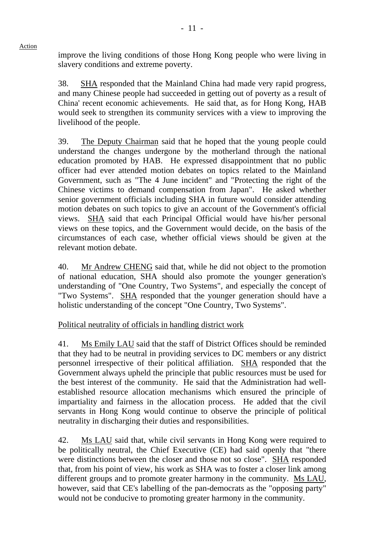improve the living conditions of those Hong Kong people who were living in slavery conditions and extreme poverty.

38. SHA responded that the Mainland China had made very rapid progress, and many Chinese people had succeeded in getting out of poverty as a result of China' recent economic achievements. He said that, as for Hong Kong, HAB would seek to strengthen its community services with a view to improving the livelihood of the people.

39. The Deputy Chairman said that he hoped that the young people could understand the changes undergone by the motherland through the national education promoted by HAB. He expressed disappointment that no public officer had ever attended motion debates on topics related to the Mainland Government, such as "The 4 June incident" and "Protecting the right of the Chinese victims to demand compensation from Japan". He asked whether senior government officials including SHA in future would consider attending motion debates on such topics to give an account of the Government's official views. SHA said that each Principal Official would have his/her personal views on these topics, and the Government would decide, on the basis of the circumstances of each case, whether official views should be given at the relevant motion debate.

40. Mr Andrew CHENG said that, while he did not object to the promotion of national education, SHA should also promote the younger generation's understanding of "One Country, Two Systems", and especially the concept of "Two Systems". SHA responded that the younger generation should have a holistic understanding of the concept "One Country, Two Systems".

# Political neutrality of officials in handling district work

41. Ms Emily LAU said that the staff of District Offices should be reminded that they had to be neutral in providing services to DC members or any district personnel irrespective of their political affiliation. SHA responded that the Government always upheld the principle that public resources must be used for the best interest of the community. He said that the Administration had wellestablished resource allocation mechanisms which ensured the principle of impartiality and fairness in the allocation process. He added that the civil servants in Hong Kong would continue to observe the principle of political neutrality in discharging their duties and responsibilities.

42. Ms LAU said that, while civil servants in Hong Kong were required to be politically neutral, the Chief Executive (CE) had said openly that "there were distinctions between the closer and those not so close". SHA responded that, from his point of view, his work as SHA was to foster a closer link among different groups and to promote greater harmony in the community. Ms LAU, however, said that CE's labelling of the pan-democrats as the "opposing party" would not be conducive to promoting greater harmony in the community.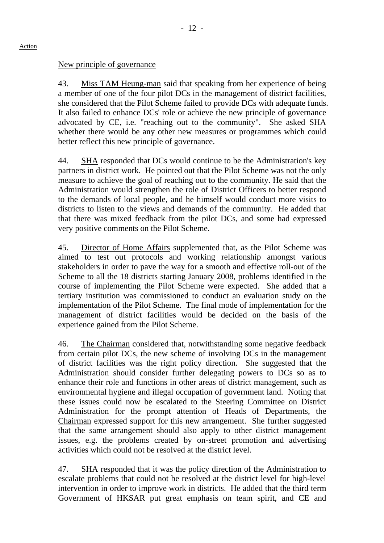# New principle of governance

43. Miss TAM Heung-man said that speaking from her experience of being a member of one of the four pilot DCs in the management of district facilities, she considered that the Pilot Scheme failed to provide DCs with adequate funds. It also failed to enhance DCs' role or achieve the new principle of governance advocated by CE, i.e. "reaching out to the community". She asked SHA whether there would be any other new measures or programmes which could better reflect this new principle of governance.

44. SHA responded that DCs would continue to be the Administration's key partners in district work. He pointed out that the Pilot Scheme was not the only measure to achieve the goal of reaching out to the community. He said that the Administration would strengthen the role of District Officers to better respond to the demands of local people, and he himself would conduct more visits to districts to listen to the views and demands of the community. He added that that there was mixed feedback from the pilot DCs, and some had expressed very positive comments on the Pilot Scheme.

45. Director of Home Affairs supplemented that, as the Pilot Scheme was aimed to test out protocols and working relationship amongst various stakeholders in order to pave the way for a smooth and effective roll-out of the Scheme to all the 18 districts starting January 2008, problems identified in the course of implementing the Pilot Scheme were expected. She added that a tertiary institution was commissioned to conduct an evaluation study on the implementation of the Pilot Scheme. The final mode of implementation for the management of district facilities would be decided on the basis of the experience gained from the Pilot Scheme.

46. The Chairman considered that, notwithstanding some negative feedback from certain pilot DCs, the new scheme of involving DCs in the management of district facilities was the right policy direction. She suggested that the Administration should consider further delegating powers to DCs so as to enhance their role and functions in other areas of district management, such as environmental hygiene and illegal occupation of government land. Noting that these issues could now be escalated to the Steering Committee on District Administration for the prompt attention of Heads of Departments, the Chairman expressed support for this new arrangement. She further suggested that the same arrangement should also apply to other district management issues, e.g. the problems created by on-street promotion and advertising activities which could not be resolved at the district level.

47. SHA responded that it was the policy direction of the Administration to escalate problems that could not be resolved at the district level for high-level intervention in order to improve work in districts. He added that the third term Government of HKSAR put great emphasis on team spirit, and CE and

#### Action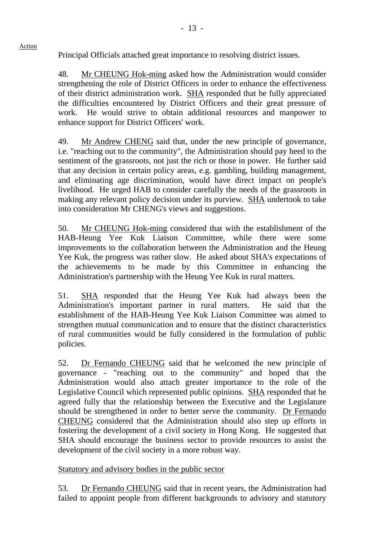Principal Officials attached great importance to resolving district issues.

48. Mr CHEUNG Hok-ming asked how the Administration would consider strengthening the role of District Officers in order to enhance the effectiveness of their district administration work. SHA responded that he fully appreciated the difficulties encountered by District Officers and their great pressure of work. He would strive to obtain additional resources and manpower to enhance support for District Officers' work.

49. Mr Andrew CHENG said that, under the new principle of governance, i.e. "reaching out to the community", the Administration should pay heed to the sentiment of the grassroots, not just the rich or those in power. He further said that any decision in certain policy areas, e.g. gambling, building management, and eliminating age discrimination, would have direct impact on people's livelihood. He urged HAB to consider carefully the needs of the grassroots in making any relevant policy decision under its purview. SHA undertook to take into consideration Mr CHENG's views and suggestions.

50. Mr CHEUNG Hok-ming considered that with the establishment of the HAB-Heung Yee Kuk Liaison Committee, while there were some improvements to the collaboration between the Administration and the Heung Yee Kuk, the progress was rather slow. He asked about SHA's expectations of the achievements to be made by this Committee in enhancing the Administration's partnership with the Heung Yee Kuk in rural matters.

51. SHA responded that the Heung Yee Kuk had always been the Administration's important partner in rural matters. He said that the establishment of the HAB-Heung Yee Kuk Liaison Committee was aimed to strengthen mutual communication and to ensure that the distinct characteristics of rural communities would be fully considered in the formulation of public policies.

52. Dr Fernando CHEUNG said that he welcomed the new principle of governance - "reaching out to the community" and hoped that the Administration would also attach greater importance to the role of the Legislative Council which represented public opinions. SHA responded that he agreed fully that the relationship between the Executive and the Legislature should be strengthened in order to better serve the community. Dr Fernando CHEUNG considered that the Administration should also step up efforts in fostering the development of a civil society in Hong Kong. He suggested that SHA should encourage the business sector to provide resources to assist the development of the civil society in a more robust way.

Statutory and advisory bodies in the public sector

53. Dr Fernando CHEUNG said that in recent years, the Administration had failed to appoint people from different backgrounds to advisory and statutory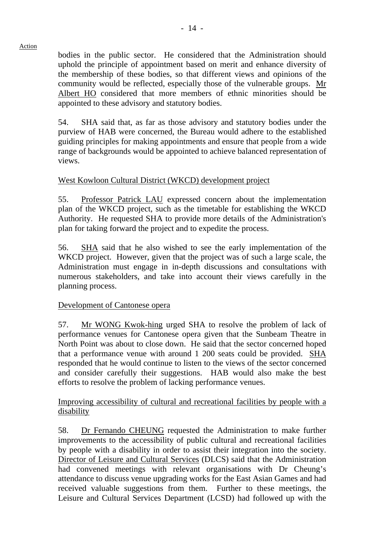bodies in the public sector. He considered that the Administration should uphold the principle of appointment based on merit and enhance diversity of the membership of these bodies, so that different views and opinions of the community would be reflected, especially those of the vulnerable groups. Mr Albert HO considered that more members of ethnic minorities should be appointed to these advisory and statutory bodies.

54. SHA said that, as far as those advisory and statutory bodies under the purview of HAB were concerned, the Bureau would adhere to the established guiding principles for making appointments and ensure that people from a wide range of backgrounds would be appointed to achieve balanced representation of views.

# West Kowloon Cultural District (WKCD) development project

55. Professor Patrick LAU expressed concern about the implementation plan of the WKCD project, such as the timetable for establishing the WKCD Authority. He requested SHA to provide more details of the Administration's plan for taking forward the project and to expedite the process.

56. SHA said that he also wished to see the early implementation of the WKCD project. However, given that the project was of such a large scale, the Administration must engage in in-depth discussions and consultations with numerous stakeholders, and take into account their views carefully in the planning process.

# Development of Cantonese opera

57. Mr WONG Kwok-hing urged SHA to resolve the problem of lack of performance venues for Cantonese opera given that the Sunbeam Theatre in North Point was about to close down. He said that the sector concerned hoped that a performance venue with around 1 200 seats could be provided. SHA responded that he would continue to listen to the views of the sector concerned and consider carefully their suggestions. HAB would also make the best efforts to resolve the problem of lacking performance venues.

Improving accessibility of cultural and recreational facilities by people with a disability

58. Dr Fernando CHEUNG requested the Administration to make further improvements to the accessibility of public cultural and recreational facilities by people with a disability in order to assist their integration into the society. Director of Leisure and Cultural Services (DLCS) said that the Administration had convened meetings with relevant organisations with Dr Cheung's attendance to discuss venue upgrading works for the East Asian Games and had received valuable suggestions from them. Further to these meetings, the Leisure and Cultural Services Department (LCSD) had followed up with the

#### Action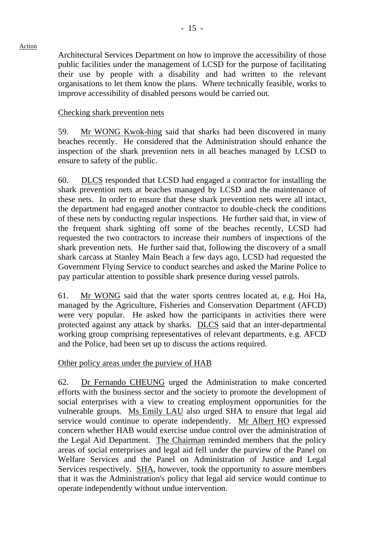Architectural Services Department on how to improve the accessibility of those public facilities under the management of LCSD for the purpose of facilitating their use by people with a disability and had written to the relevant organisations to let them know the plans. Where technically feasible, works to improve accessibility of disabled persons would be carried out.

## Checking shark prevention nets

59. Mr WONG Kwok-hing said that sharks had been discovered in many beaches recently. He considered that the Administration should enhance the inspection of the shark prevention nets in all beaches managed by LCSD to ensure to safety of the public.

60. DLCS responded that LCSD had engaged a contractor for installing the shark prevention nets at beaches managed by LCSD and the maintenance of these nets. In order to ensure that these shark prevention nets were all intact, the department had engaged another contractor to double-check the conditions of these nets by conducting regular inspections. He further said that, in view of the frequent shark sighting off some of the beaches recently, LCSD had requested the two contractors to increase their numbers of inspections of the shark prevention nets. He further said that, following the discovery of a small shark carcass at Stanley Main Beach a few days ago, LCSD had requested the Government Flying Service to conduct searches and asked the Marine Police to pay particular attention to possible shark presence during vessel patrols.

61. Mr WONG said that the water sports centres located at, e.g. Hoi Ha, managed by the Agriculture, Fisheries and Conservation Department (AFCD) were very popular. He asked how the participants in activities there were protected against any attack by sharks. DLCS said that an inter-departmental working group comprising representatives of relevant departments, e.g. AFCD and the Police, had been set up to discuss the actions required.

Other policy areas under the purview of HAB

62. Dr Fernando CHEUNG urged the Administration to make concerted efforts with the business sector and the society to promote the development of social enterprises with a view to creating employment opportunities for the vulnerable groups. Ms Emily LAU also urged SHA to ensure that legal aid service would continue to operate independently. Mr Albert HO expressed concern whether HAB would exercise undue control over the administration of the Legal Aid Department. The Chairman reminded members that the policy areas of social enterprises and legal aid fell under the purview of the Panel on Welfare Services and the Panel on Administration of Justice and Legal Services respectively. SHA, however, took the opportunity to assure members that it was the Administration's policy that legal aid service would continue to operate independently without undue intervention.